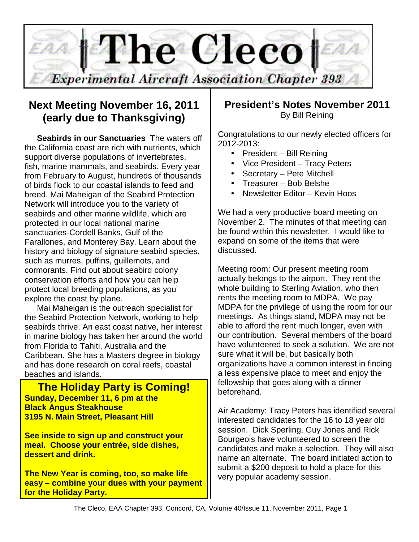

### **Next Meeting November 16, 2011 (early due to Thanksgiving)**

**Seabirds in our Sanctuaries** The waters off the California coast are rich with nutrients, which support diverse populations of invertebrates, fish, marine mammals, and seabirds. Every year from February to August, hundreds of thousands of birds flock to our coastal islands to feed and breed. Mai Maheigan of the Seabird Protection Network will introduce you to the variety of seabirds and other marine wildlife, which are protected in our local national marine sanctuaries-Cordell Banks, Gulf of the Farallones, and Monterey Bay. Learn about the history and biology of signature seabird species, such as murres, puffins, guillemots, and cormorants. Find out about seabird colony conservation efforts and how you can help protect local breeding populations, as you explore the coast by plane.

Mai Maheigan is the outreach specialist for the Seabird Protection Network, working to help seabirds thrive. An east coast native, her interest in marine biology has taken her around the world from Florida to Tahiti, Australia and the Caribbean. She has a Masters degree in biology and has done research on coral reefs, coastal beaches and islands.

**The Holiday Party is Coming! Sunday, December 11, 6 pm at the Black Angus Steakhouse 3195 N. Main Street, Pleasant Hill** 

**See inside to sign up and construct your meal. Choose your entrée, side dishes, dessert and drink.** 

**The New Year is coming, too, so make life easy – combine your dues with your payment for the Holiday Party.**

#### **President's Notes November 2011**  By Bill Reining

Congratulations to our newly elected officers for 2012-2013:

- President Bill Reining
- Vice President Tracy Peters
- Secretary Pete Mitchell
- Treasurer Bob Belshe
- Newsletter Editor Kevin Hoos

We had a very productive board meeting on November 2. The minutes of that meeting can be found within this newsletter. I would like to expand on some of the items that were discussed.

Meeting room: Our present meeting room actually belongs to the airport. They rent the whole building to Sterling Aviation, who then rents the meeting room to MDPA. We pay MDPA for the privilege of using the room for our meetings. As things stand, MDPA may not be able to afford the rent much longer, even with our contribution. Several members of the board have volunteered to seek a solution. We are not sure what it will be, but basically both organizations have a common interest in finding a less expensive place to meet and enjoy the fellowship that goes along with a dinner beforehand.

Air Academy: Tracy Peters has identified several interested candidates for the 16 to 18 year old session. Dick Sperling, Guy Jones and Rick Bourgeois have volunteered to screen the candidates and make a selection. They will also name an alternate. The board initiated action to submit a \$200 deposit to hold a place for this very popular academy session.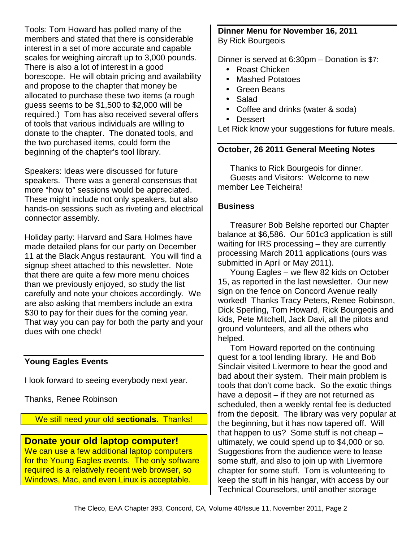Tools: Tom Howard has polled many of the members and stated that there is considerable interest in a set of more accurate and capable scales for weighing aircraft up to 3,000 pounds. There is also a lot of interest in a good borescope. He will obtain pricing and availability and propose to the chapter that money be allocated to purchase these two items (a rough guess seems to be \$1,500 to \$2,000 will be required.) Tom has also received several offers of tools that various individuals are willing to donate to the chapter. The donated tools, and the two purchased items, could form the beginning of the chapter's tool library.

Speakers: Ideas were discussed for future speakers. There was a general consensus that more "how to" sessions would be appreciated. These might include not only speakers, but also hands-on sessions such as riveting and electrical connector assembly.

Holiday party: Harvard and Sara Holmes have made detailed plans for our party on December 11 at the Black Angus restaurant. You will find a signup sheet attached to this newsletter. Note that there are quite a few more menu choices than we previously enjoyed, so study the list carefully and note your choices accordingly. We are also asking that members include an extra \$30 to pay for their dues for the coming year. That way you can pay for both the party and your dues with one check!

#### **Young Eagles Events**

I look forward to seeing everybody next year.

Thanks, Renee Robinson

We still need your old **sectionals**. Thanks!

#### **Donate your old laptop computer!**

We can use a few additional laptop computers for the Young Eagles events. The only software required is a relatively recent web browser, so Windows, Mac, and even Linux is acceptable.

#### **Dinner Menu for November 16, 2011**  By Rick Bourgeois

Dinner is served at 6:30pm – Donation is \$7:

- Roast Chicken
- Mashed Potatoes
- Green Beans
- Salad
- Coffee and drinks (water & soda)
- Dessert

Let Rick know your suggestions for future meals.

#### **October, 26 2011 General Meeting Notes**

Thanks to Rick Bourgeois for dinner. Guests and Visitors: Welcome to new member Lee Teicheira!

#### **Business**

Treasurer Bob Belshe reported our Chapter balance at \$6,586. Our 501c3 application is still waiting for IRS processing – they are currently processing March 2011 applications (ours was submitted in April or May 2011).

Young Eagles – we flew 82 kids on October 15, as reported in the last newsletter. Our new sign on the fence on Concord Avenue really worked! Thanks Tracy Peters, Renee Robinson, Dick Sperling, Tom Howard, Rick Bourgeois and kids, Pete Mitchell, Jack Davi, all the pilots and ground volunteers, and all the others who helped.

Tom Howard reported on the continuing quest for a tool lending library. He and Bob Sinclair visited Livermore to hear the good and bad about their system. Their main problem is tools that don't come back. So the exotic things have a deposit – if they are not returned as scheduled, then a weekly rental fee is deducted from the deposit. The library was very popular at the beginning, but it has now tapered off. Will that happen to us? Some stuff is not cheap – ultimately, we could spend up to \$4,000 or so. Suggestions from the audience were to lease some stuff, and also to join up with Livermore chapter for some stuff. Tom is volunteering to keep the stuff in his hangar, with access by our Technical Counselors, until another storage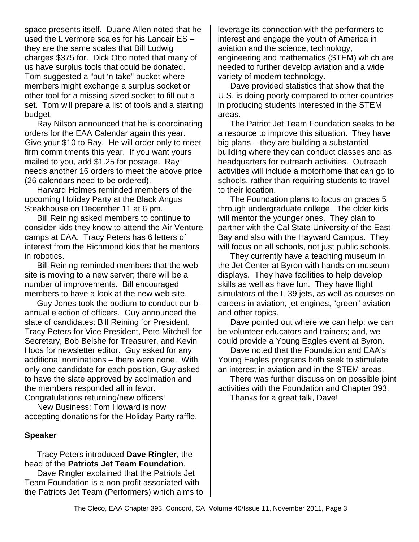space presents itself. Duane Allen noted that he used the Livermore scales for his Lancair ES – they are the same scales that Bill Ludwig charges \$375 for. Dick Otto noted that many of us have surplus tools that could be donated. Tom suggested a "put 'n take" bucket where members might exchange a surplus socket or other tool for a missing sized socket to fill out a set. Tom will prepare a list of tools and a starting budget.

Ray Nilson announced that he is coordinating orders for the EAA Calendar again this year. Give your \$10 to Ray. He will order only to meet firm commitments this year. If you want yours mailed to you, add \$1.25 for postage. Ray needs another 16 orders to meet the above price (26 calendars need to be ordered).

Harvard Holmes reminded members of the upcoming Holiday Party at the Black Angus Steakhouse on December 11 at 6 pm.

Bill Reining asked members to continue to consider kids they know to attend the Air Venture camps at EAA. Tracy Peters has 6 letters of interest from the Richmond kids that he mentors in robotics.

Bill Reining reminded members that the web site is moving to a new server; there will be a number of improvements. Bill encouraged members to have a look at the new web site.

Guy Jones took the podium to conduct our biannual election of officers. Guy announced the slate of candidates: Bill Reining for President, Tracy Peters for Vice President, Pete Mitchell for Secretary, Bob Belshe for Treasurer, and Kevin Hoos for newsletter editor. Guy asked for any additional nominations – there were none. With only one candidate for each position, Guy asked to have the slate approved by acclimation and the members responded all in favor. Congratulations returning/new officers!

New Business: Tom Howard is now accepting donations for the Holiday Party raffle.

#### **Speaker**

Tracy Peters introduced **Dave Ringler**, the head of the **Patriots Jet Team Foundation**.

Dave Ringler explained that the Patriots Jet Team Foundation is a non-profit associated with the Patriots Jet Team (Performers) which aims to leverage its connection with the performers to interest and engage the youth of America in aviation and the science, technology, engineering and mathematics (STEM) which are needed to further develop aviation and a wide variety of modern technology.

Dave provided statistics that show that the U.S. is doing poorly compared to other countries in producing students interested in the STEM areas.

The Patriot Jet Team Foundation seeks to be a resource to improve this situation. They have big plans – they are building a substantial building where they can conduct classes and as headquarters for outreach activities. Outreach activities will include a motorhome that can go to schools, rather than requiring students to travel to their location.

The Foundation plans to focus on grades 5 through undergraduate college. The older kids will mentor the younger ones. They plan to partner with the Cal State University of the East Bay and also with the Hayward Campus. They will focus on all schools, not just public schools.

They currently have a teaching museum in the Jet Center at Byron with hands on museum displays. They have facilities to help develop skills as well as have fun. They have flight simulators of the L-39 jets, as well as courses on careers in aviation, jet engines, "green" aviation and other topics.

Dave pointed out where we can help: we can be volunteer educators and trainers; and, we could provide a Young Eagles event at Byron.

Dave noted that the Foundation and EAA's Young Eagles programs both seek to stimulate an interest in aviation and in the STEM areas.

There was further discussion on possible joint activities with the Foundation and Chapter 393.

Thanks for a great talk, Dave!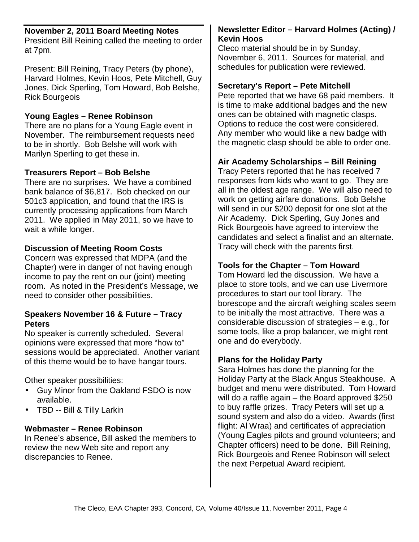#### **November 2, 2011 Board Meeting Notes**

President Bill Reining called the meeting to order at 7pm.

Present: Bill Reining, Tracy Peters (by phone), Harvard Holmes, Kevin Hoos, Pete Mitchell, Guy Jones, Dick Sperling, Tom Howard, Bob Belshe, Rick Bourgeois

#### **Young Eagles – Renee Robinson**

There are no plans for a Young Eagle event in November. The reimbursement requests need to be in shortly. Bob Belshe will work with Marilyn Sperling to get these in.

#### **Treasurers Report – Bob Belshe**

There are no surprises. We have a combined bank balance of \$6,817. Bob checked on our 501c3 application, and found that the IRS is currently processing applications from March 2011. We applied in May 2011, so we have to wait a while longer.

#### **Discussion of Meeting Room Costs**

Concern was expressed that MDPA (and the Chapter) were in danger of not having enough income to pay the rent on our (joint) meeting room. As noted in the President's Message, we need to consider other possibilities.

#### **Speakers November 16 & Future – Tracy Peters**

No speaker is currently scheduled. Several opinions were expressed that more "how to" sessions would be appreciated. Another variant of this theme would be to have hangar tours.

Other speaker possibilities:

- Guy Minor from the Oakland FSDO is now available.
- TBD -- Bill & Tilly Larkin

#### **Webmaster – Renee Robinson**

In Renee's absence, Bill asked the members to review the new Web site and report any discrepancies to Renee.

#### **Newsletter Editor – Harvard Holmes (Acting) / Kevin Hoos**

Cleco material should be in by Sunday, November 6, 2011. Sources for material, and schedules for publication were reviewed.

#### **Secretary's Report – Pete Mitchell**

Pete reported that we have 68 paid members. It is time to make additional badges and the new ones can be obtained with magnetic clasps. Options to reduce the cost were considered. Any member who would like a new badge with the magnetic clasp should be able to order one.

#### **Air Academy Scholarships – Bill Reining**

Tracy Peters reported that he has received 7 responses from kids who want to go. They are all in the oldest age range. We will also need to work on getting airfare donations. Bob Belshe will send in our \$200 deposit for one slot at the Air Academy. Dick Sperling, Guy Jones and Rick Bourgeois have agreed to interview the candidates and select a finalist and an alternate. Tracy will check with the parents first.

#### **Tools for the Chapter – Tom Howard**

Tom Howard led the discussion. We have a place to store tools, and we can use Livermore procedures to start our tool library. The borescope and the aircraft weighing scales seem to be initially the most attractive. There was a considerable discussion of strategies – e.g., for some tools, like a prop balancer, we might rent one and do everybody.

#### **Plans for the Holiday Party**

Sara Holmes has done the planning for the Holiday Party at the Black Angus Steakhouse. A budget and menu were distributed. Tom Howard will do a raffle again – the Board approved \$250 to buy raffle prizes. Tracy Peters will set up a sound system and also do a video. Awards (first flight: Al Wraa) and certificates of appreciation (Young Eagles pilots and ground volunteers; and Chapter officers) need to be done. Bill Reining, Rick Bourgeois and Renee Robinson will select the next Perpetual Award recipient.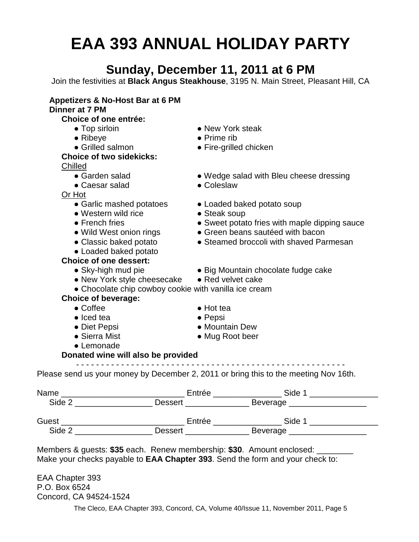# **EAA 393 ANNUAL HOLIDAY PARTY**

## **Sunday, December 11, 2011 at 6 PM**

Join the festivities at **Black Angus Steakhouse**, 3195 N. Main Street, Pleasant Hill, CA

| • New York steak<br>• Fire-grilled chicken<br>• Wedge salad with Bleu cheese dressing<br>• Loaded baked potato soup<br>• Sweet potato fries with maple dipping sauce<br>• Green beans sautéed with bacon<br>• Steamed broccoli with shaved Parmesan |  |  |  |  |  |
|-----------------------------------------------------------------------------------------------------------------------------------------------------------------------------------------------------------------------------------------------------|--|--|--|--|--|
|                                                                                                                                                                                                                                                     |  |  |  |  |  |
|                                                                                                                                                                                                                                                     |  |  |  |  |  |
|                                                                                                                                                                                                                                                     |  |  |  |  |  |
|                                                                                                                                                                                                                                                     |  |  |  |  |  |
|                                                                                                                                                                                                                                                     |  |  |  |  |  |
|                                                                                                                                                                                                                                                     |  |  |  |  |  |
|                                                                                                                                                                                                                                                     |  |  |  |  |  |
|                                                                                                                                                                                                                                                     |  |  |  |  |  |
|                                                                                                                                                                                                                                                     |  |  |  |  |  |
|                                                                                                                                                                                                                                                     |  |  |  |  |  |
|                                                                                                                                                                                                                                                     |  |  |  |  |  |
|                                                                                                                                                                                                                                                     |  |  |  |  |  |
|                                                                                                                                                                                                                                                     |  |  |  |  |  |
|                                                                                                                                                                                                                                                     |  |  |  |  |  |
|                                                                                                                                                                                                                                                     |  |  |  |  |  |
|                                                                                                                                                                                                                                                     |  |  |  |  |  |
|                                                                                                                                                                                                                                                     |  |  |  |  |  |
| • Big Mountain chocolate fudge cake                                                                                                                                                                                                                 |  |  |  |  |  |
| • New York style cheesecake • Red velvet cake<br>• Chocolate chip cowboy cookie with vanilla ice cream                                                                                                                                              |  |  |  |  |  |
|                                                                                                                                                                                                                                                     |  |  |  |  |  |
|                                                                                                                                                                                                                                                     |  |  |  |  |  |
| $\bullet$ Hot tea                                                                                                                                                                                                                                   |  |  |  |  |  |
| $\bullet$ Pepsi                                                                                                                                                                                                                                     |  |  |  |  |  |
| • Mountain Dew                                                                                                                                                                                                                                      |  |  |  |  |  |
| • Mug Root beer                                                                                                                                                                                                                                     |  |  |  |  |  |
|                                                                                                                                                                                                                                                     |  |  |  |  |  |
|                                                                                                                                                                                                                                                     |  |  |  |  |  |
| Please send us your money by December 2, 2011 or bring this to the meeting Nov 16th.                                                                                                                                                                |  |  |  |  |  |
| Name _______________________________ Entrée _________________Side 1 ____________                                                                                                                                                                    |  |  |  |  |  |
| Side 2 ________________________ Dessert ____________________ Beverage __________________                                                                                                                                                            |  |  |  |  |  |
| Guest ___________________________________Entrée _________________Side 1 ________________<br>Side 2 ______________________Dessert ___________________Beverage ________________                                                                       |  |  |  |  |  |
|                                                                                                                                                                                                                                                     |  |  |  |  |  |
| Members & guests: \$35 each. Renew membership: \$30. Amount enclosed: _________<br>Make your checks payable to EAA Chapter 393. Send the form and your check to:                                                                                    |  |  |  |  |  |

P.O. Box 6524 Concord, CA 94524-1524

The Cleco, EAA Chapter 393, Concord, CA, Volume 40/Issue 11, November 2011, Page 5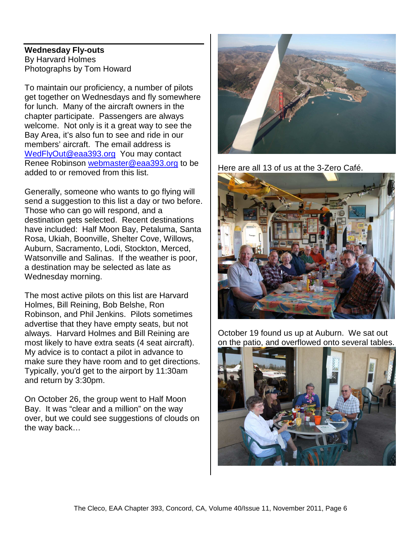#### **Wednesday Fly-outs**  By Harvard Holmes Photographs by Tom Howard

To maintain our proficiency, a number of pilots get together on Wednesdays and fly somewhere for lunch. Many of the aircraft owners in the chapter participate. Passengers are always welcome. Not only is it a great way to see the Bay Area, it's also fun to see and ride in our members' aircraft. The email address is WedFlyOut@eaa393.org You may contact Renee Robinson webmaster@eaa393.org to be added to or removed from this list.

Generally, someone who wants to go flying will send a suggestion to this list a day or two before. Those who can go will respond, and a destination gets selected. Recent destinations have included: Half Moon Bay, Petaluma, Santa Rosa, Ukiah, Boonville, Shelter Cove, Willows, Auburn, Sacramento, Lodi, Stockton, Merced, Watsonville and Salinas. If the weather is poor, a destination may be selected as late as Wednesday morning.

The most active pilots on this list are Harvard Holmes, Bill Reining, Bob Belshe, Ron Robinson, and Phil Jenkins. Pilots sometimes advertise that they have empty seats, but not always. Harvard Holmes and Bill Reining are most likely to have extra seats (4 seat aircraft). My advice is to contact a pilot in advance to make sure they have room and to get directions. Typically, you'd get to the airport by 11:30am and return by 3:30pm.

On October 26, the group went to Half Moon Bay. It was "clear and a million" on the way over, but we could see suggestions of clouds on the way back…







October 19 found us up at Auburn. We sat out on the patio, and overflowed onto several tables.

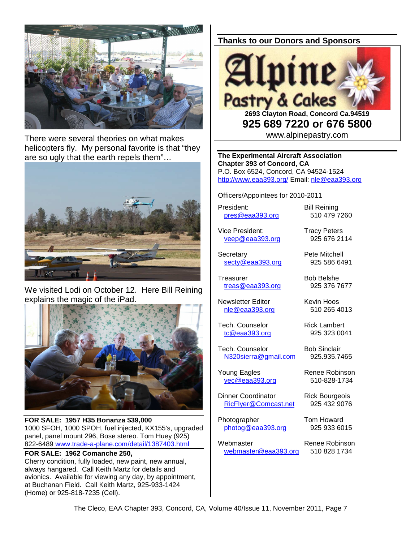

There were several theories on what makes helicopters fly. My personal favorite is that "they are so ugly that the earth repels them"…



We visited Lodi on October 12. Here Bill Reining explains the magic of the iPad.



**FOR SALE: 1957 H35 Bonanza \$39,000**  1000 SFOH, 1000 SPOH, fuel injected, KX155's, upgraded panel, panel mount 296, Bose stereo. Tom Huey (925) 822-6489 www.trade-a-plane.com/detail/1387403.html

#### **FOR SALE: 1962 Comanche 250,**

Cherry condition, fully loaded, new paint, new annual, always hangared. Call Keith Martz for details and avionics. Available for viewing any day, by appointment, at Buchanan Field. Call Keith Martz, 925-933-1424 (Home) or 925-818-7235 (Cell).

**Thanks to our Donors and Sponsors** 



www.alpinepastry.com

**The Experimental Aircraft Association Chapter 393 of Concord, CA**  P.O. Box 6524, Concord, CA 94524-1524 http://www.eaa393.org/ Email: nle@eaa393.org

Officers/Appointees for 2010-2011

President: Bill Reining pres@eaa393.org 510 479 7260

Vice President: Tracy Peters veep@eaa393.org 925 676 2114

Secretary **Pete Mitchell** secty@eaa393.org 925 586 6491

Treasurer Bob Belshe treas@eaa393.org 925 376 7677

Newsletter Editor **Kevin Hoos** nle@eaa393.org 510 265 4013

Tech. Counselor **Rick Lambert** tc@eaa393.org 925 323 0041

Tech. Counselor **Bob Sinclair** N320sierra@gmail.com 925.935.7465

Young Eagles Renee Robinson yec@eaa393.org 510-828-1734

Dinner Coordinator Rick Bourgeois<br>RicFlyer@Comcast.net 925 432 9076 RicFlyer@Comcast.net

Photographer Tom Howard photog@eaa393.org 925 933 6015

Webmaster Renee Robinson webmaster@eaa393.org 510 828 1734